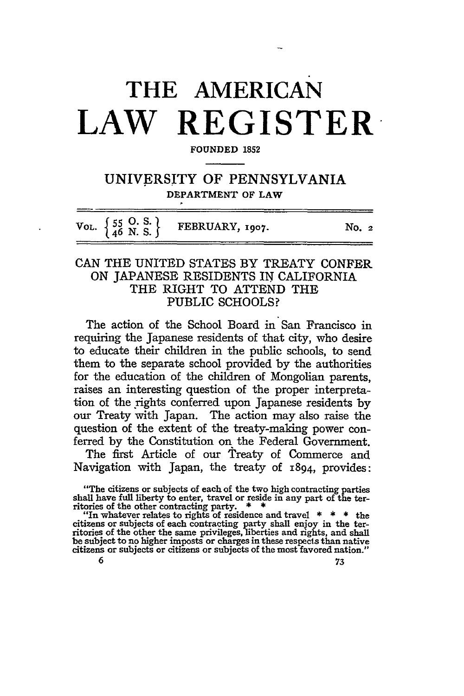## **THE AMERICAN LAW REGISTER**

**FOUNDED 1852**

## UNIVERSITY OF PENNSYLVANIA **DEPARTMENT OF LAW**

| Vol. $\left\{\begin{array}{c} 55 & O. \text{ S.} \\ 46 & \text{N. S.} \end{array}\right\}$ | FEBRUARY, 1907. | No. $2$ |
|--------------------------------------------------------------------------------------------|-----------------|---------|
|--------------------------------------------------------------------------------------------|-----------------|---------|

## **CAN** THE UNITED **STATES** BY TREATY **CONFER ON JAPANESE** RESIDENTS **IN** CALIFORNIA THE RIGHT TO **ATTEND** THE PUBLIC **SCHOOLS?**

The action of the School Board in San Francisco in requiring the Japanese residents of that city, who desire to educate their children in the public schools, to send them to the separate school provided by the authorities for the education of the children of Mongolian parents, raises an interesting question of the proper interpretation of the rights conferred upon Japanese residents by our Treaty with Japan. The action may also raise the question of the extent of the treaty-making power conferred by the Constitution on the Federal Government.

The first Article of our Treaty of Commerce and Navigation with Japan, the treaty of 1894, provides:

 $\sim$  73

<sup>&</sup>quot;The citizens or subjects of each of the two high contracting parties shall have full liberty to enter, travel or reside in any part of the territories of the other contracting party. **\* \*** "In whatever relates to rights of residence and travel **\*** \* **\*** the

citizens or subjects of each contracting party shall enjoy in the ter-ritories of the other the same privileges, liberties and rights, and shall be subject to no higher imposts or charges in these respects than native citizens or subjects or citizens or subjects of the most favored nation."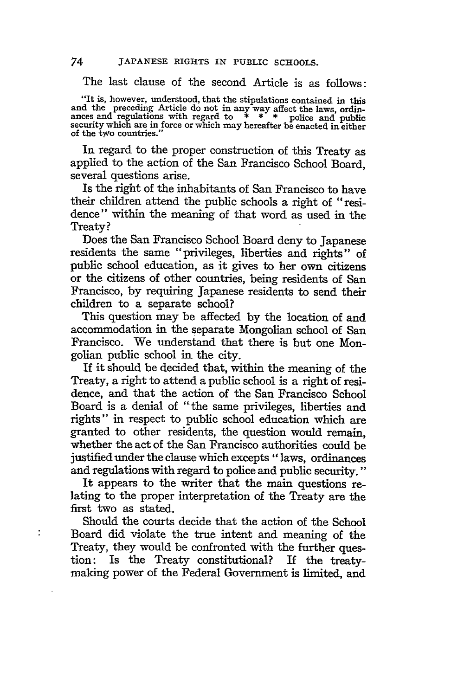The last clause of the second Article is as follows:

"It is, however, understood, that the stipulations contained in this and the preceding Article do not in any way affect the laws, ordin-<br>ances and regulations with regard to  $* * *$  police and public<br>security which are in force or which may hereafter be enacted in either<br>of the two countries

In regard to the proper construction of this Treaty as applied to the action of the San Francisco School Board, several questions arise.

Is the right of the inhabitants of San Francisco to have their children attend the public schools a right of "residence" within the meaning of that word as used in the Treaty?

Does the San Francisco School Board deny to Japanese residents the same "privileges, liberties and rights" of public school education, as it gives to her own citizens or the citizens of other countries, being residents of San Francisco, by requiring Japanese residents to send their children to a separate school?

This question may be affected by the location of and accommodation in the separate Mongolian school of San Francisco. We understand that there is but one Mongolian public school in the city.

If it should be decided that, within the meaning of the Treaty, a right to attend a public school is a right of residence, and that the action of the San Francisco School Board is a denial of "the same privileges, liberties and rights" in respect to public school education which are granted to other residents, the question would remain, whether the act of the San Francisco authorities could be justified under the clause which excepts "laws, ordinances and regulations with regard to police and public security."

It appears to the writer that the main questions relating to the proper interpretation of the Treaty are the first two as stated.

Should the courts decide that the action of the School Board did violate the true intent and meaning of the Treaty, they would be confronted with the further question: Is the Treaty constitutional? If the treatymaking power of the Federal Government is limited, and

 $\ddot{\cdot}$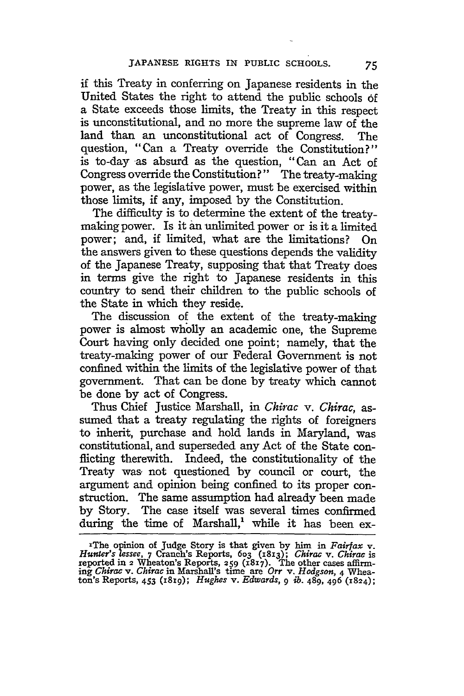if this Treaty in conferring on Japanese residents in the United States the right to attend the public schools of a State exceeds those limits, the Treaty in this respect is unconstitutional, and no more the supreme law of the land than an unconstitutional act of Congress. The question, "Can a Treaty override the Constitution?" is to-day as absurd as the question, "Can an Act of Congress override the Constitution?" The treaty-making power, as the legislative power, must be exercised within those limits, if any, imposed by the Constitution.

The difficulty is to determine the extent of the treatymaking power. Is it an unlimited power or is it a limited power; and, if limited, what are the limitations? On the answers given to these questions depends the validity of the Japanese Treaty, supposing that that Treaty does in terms give the right to Japanese residents in this country to send their children to the public schools of the State in which they reside.

The discussion of the extent of the treaty-making power is almost wholly an academic one, the Supreme Court having only decided one point; namely, that the treaty-making power of our Federal Government is not confined within the limits of the legislative power of that government. That can be done by treaty which cannot be done by act of Congress.

Thus Chief Justice Marshall, in *Chirac v. Chirac,* assumed that a treaty regulating the rights of foreigners to inherit, purchase and hold lands in Maryland, was constitutional, and superseded any Act of the State conflicting therewith. Indeed, the constitutionality of the Treaty was not questioned by council or court, the argument and opinion being confined to its proper construction. The same assumption had already been made by Story. The case itself was several times confirmed during the time of Marshall,<sup>1</sup> while it has been ex-

xThe opinion of Judge Story is that given by him in *Fairfax v. Hunter's lessee,* 7 Cranch's Reports, **603** *(z813); Chirac v. Chirac* is reported in **2** Wheaton's Reports, **259 (1817).** The other cases affirming *Chirac v. Chirac* in Marshall's time are *Orr* v. *Hodgson,* 4 **Whea-**ton's Reports, 453 **(18i9);** *Hughes v. Edwards, 9 ib.* 489, 496 (1824);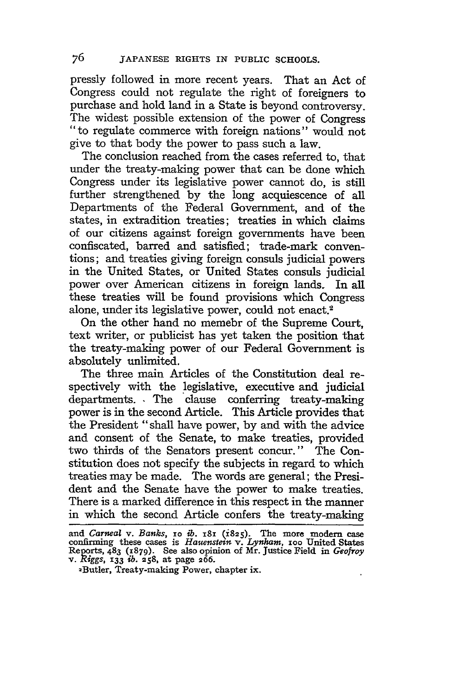pressly followed in more recent years. That an Act of Congress could not regulate the right of foreigners to purchase and hold land in a State is beyond controversy. The widest possible extension of the power of Congress "to regulate commerce with foreign nations" would not give to that body the power to pass such a law.

The conclusion reached from the cases referred to, that under the treaty-making power that can be done which Congress under its legislative power cannot do, is still further strengthened **by** the long acquiescence of all Departments of the Federal Government, and of the states, in extradition treaties; treaties in which claims of our citizens against foreign governments have been confiscated, barred and satisfied; trade-mark conventions; and treaties giving foreign consuls judicial powers in the United States, or United States consuls judicial power over American citizens in foreign lands. In all these treaties will be found provisions which Congress alone, under its legislative power, could not enact.2

On the other hand no memebr of the Supreme Court, text writer, or publicist has yet taken the position that the treaty-making power of our Federal Government is absolutely unlimited.

The three main Articles of the Constitution deal respectively with the legislative, executive and judicial departments.. The clause conferring treaty-making power is in the second Article. This Article provides that the President "shall have power, by and with the advice and consent of the Senate, to make treaties, provided two thirds of the Senators present concur." The Constitution does not specify the subjects in regard to which treaties may be made. The words are general; the President and the Senate have the power to make treaties. There is a marked difference in this respect in the manner in which the second Article confers the treaty-making

and *Carneal* v. Banks, 10 *ib*. 181 (1825). The more modern case<br>confirming these cases is *Hauenstein* v. Lynham, 100 United States<br>Reports, 483 (1879). See also opinion of Mr. Justice Field in *Geofroy*<br>v. Riggs, 133 *i* 

<sup>2</sup>Butler, Treaty-making Power, chapter ix.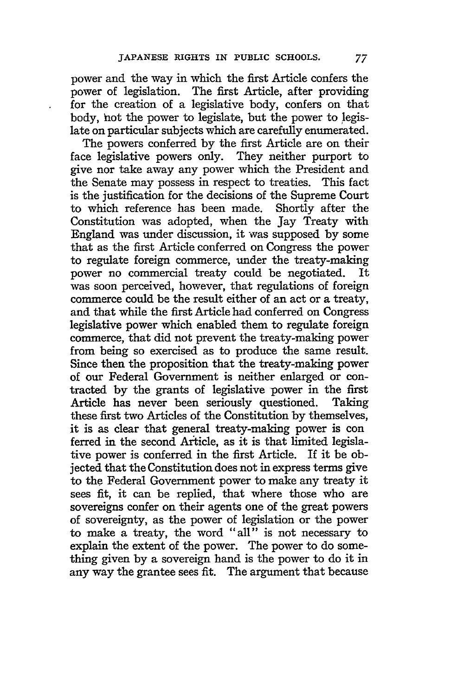power and the way in which the first Article confers the power of legislation. The first Article, after providing for the creation of a legislative body, confers on that body, hot the power to legislate, but the power to legislate on particular subjects which are carefully enumerated.

The powers conferred by the first Article are on their face legislative powers only. They neither purport to give nor take away any power which the President and the Senate may possess in respect to treaties. This fact is the justification for the decisions of the Supreme Court to which reference has been made. Shortly after the Constitution was adopted, when the Jay Treaty with England was under discussion, it was supposed by some that as the first Article conferred on Congress the power to regulate foreign commerce, under the treaty-making power no commercial treaty could be negotiated. was soon perceived, however, that regulations of foreign commerce could be the result either of an act or a treaty, and that while the first Article had conferred on Congress legislative power which enabled them to regulate foreign commerce, that did not prevent the treaty-maling power from being so exercised as to produce the same result. Since then the proposition that the treaty-making power of our Federal Government is neither enlarged or contracted by the grants of legislative power in the first Article has never been seriously questioned. Taking these first two Articles of the Constitution by themselves, it is as clear that general treaty-making power is con ferred in the second Article, as it is that limited legislative power is conferred in the first Article. If it be objected that the Constitution does not in express terms give to the Federal Government power to make any treaty it sees fit, it can be replied, that where those who are sovereigns confer on their agents one of the great powers of sovereignty, as the power of legislation or the power to make a treaty, the word "all" is not necessary to explain the extent of the power. The power to do something given by a sovereign hand is the power to do it in any way the grantee sees fit. The argument that because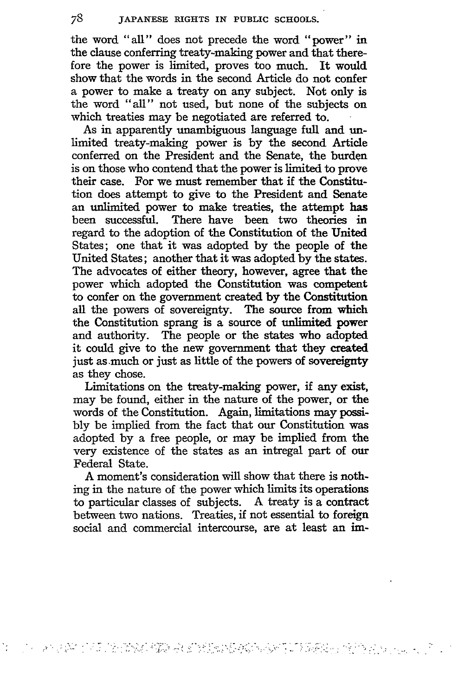the word "all" does not precede the word "power" in the clause conferring treaty-making power and that therefore the power is limited, proves too much. It would show that the words in the second Article do not confer a power to make a treaty on any subject. Not only is the word "all" not used, but none of the subjects on which treaties may be negotiated are referred to.

As in apparently unambiguous language full and unlimited treaty-making power is by the second Article conferred on the President and the Senate, the burden is on those who contend that the power is limited to prove their case. For we must remember that if the Constitution does attempt to give to the President and Senate an unlimited power to make treaties, the attempt has been successful. There have been two theories in regard to the adoption of the Constitution of the United States; one that it was adopted **by** the people of the United States; another that it was adopted **by** the states. The advocates of either theory, however, agree that the power which adopted the Constitution was competent to confer on the government created **by** the Constitution all the powers of sovereignty. The source from which the Constitution sprang is a source of unlimited power and authority. The people or the states who adopted it could give to the new government that they created just as much or just as little of the powers of sovereignty as they chose.

Limitations on the treaty-making power, if any exist, may be found, either in the nature of the power, or the words of the Constitution. Again, limitations may possibly be implied from the fact that our Constitution was adopted by a free people, or may be implied from the very existence of the states as an intregal part of our Federal State.

A moment's consideration will show that there is nothing in the nature of the power which limits its operations to particular classes of subjects. A treaty is a contract between two nations. Treaties, if not essential to foreign social and commercial intercourse, are at least an im-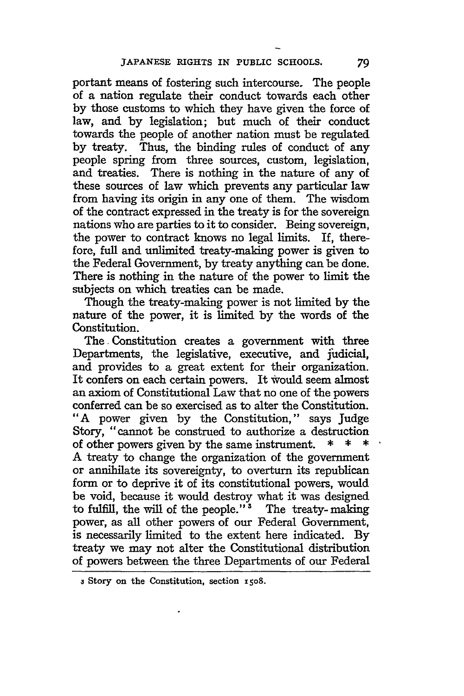portant means of fostering such intercourse. The people of a nation regulate their conduct towards each other by those customs to which they have given the force of law, and by legislation; but much of their conduct towards the people of another nation must be regulated by treaty. Thus, the binding rules of conduct of any people spring from three sources, custom, legislation, and treaties. There is nothing in the nature of any of these sources of law which prevents any particular law from having its origin in any one of them. The wisdom of the contract expressed in the treaty is for the sovereign nations who are parties to it to consider. Being sovereign, the power to contract knows no legal limits. If, therefore, full and unlimited treaty-making power is given to the Federal Government, by treaty anything can be done. There is nothing in the nature of the power to limit the subjects on which treaties can be made.

Though the treaty-making power is not limited **by** the nature of the power, it is limited **by** the words of the Constitution.

The. Constitution creates a government with three Departments, the legislative, executive, and judicial, and provides to a great extent for their organization. It confers on each certain powers. It would seem almost an axiom of Constitutional Law that no one of the powers conferred can be so exercised as to alter the Constitution. "A power given by the Constitution," says Judge Story, "cannot be construed to authorize a destruction of other powers given **by** the same instrument. \* \* \* A treaty to change the organization of the government or annihilate its sovereignty, to overturn its republican form or to deprive it of its constitutional powers, would be void, because it would destroy what it was designed to fulfill, the will of the people."<sup>3</sup> The treaty-making power, as all other powers of our Federal Government, is necessarily limited to the extent here indicated. **By** treaty we may not alter the Constitutional distribution of powers between the three Departments of our Federal

**<sup>3</sup>** Story on the Constitution, section **15o8.**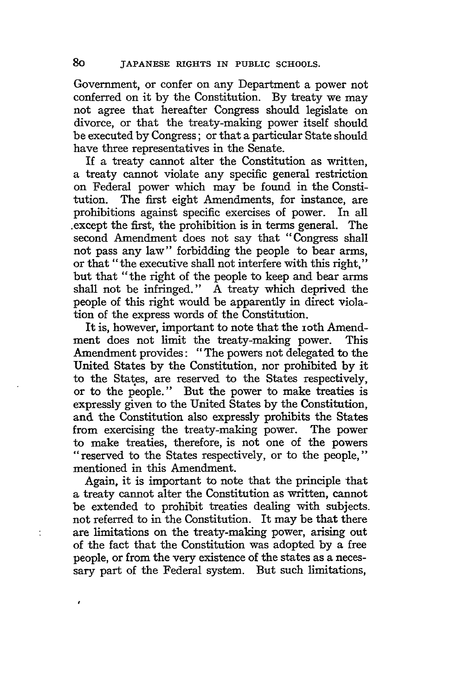Government, or confer on any Department a power not conferred on it by the Constitution. By treaty we may not agree that hereafter Congress should legislate on divorce, or that the treaty-making power itself should be executed by Congress; or that a particular State should have three representatives in the Senate.

If a treaty cannot alter the Constitution as written, a treaty cannot violate any specific general restriction on Federal power which may be found in the Constitution. The first eight Amendments, for instance, are prohibitions against specific exercises of power. In all .except the first, the prohibition is in terms general. The second Amendment does not say that "Congress shall not pass any law" forbidding the people to bear arms, or that "the executive shall not interfere with this right," but that "the right of the people to keep and bear arms shall not be infringed." A treaty which deprived the people of this right would be apparently in direct violation of the express words of the Constitution.

It is, however, important to note that the roth Amendment does not limit the treaty-making power. This Amendment provides: "The powers not delegated to the United States **by** the Constitution, nor prohibited by it to the States, are reserved to the States respectively, or to the people." But the power to make treaties is expressly given to the United States **by** the Constitution, and the Constitution also expressly prohibits the States from exercising the treaty-making power. The power to make treaties, therefore, is not one of the powers "reserved to the States respectively, or to the people," mentioned in this Amendment.

Again, it is important to note that the principle that a treaty cannot alter the Constitution as written, cannot be extended to prohibit treaties dealing with subjects. not referred to in the Constitution. It may be that there are limitations on the treaty-making power, arising out of the fact that the Constitution was adopted by a free people, or from the very existence of the states as a necessary part of the Federal system. But such limitations,

ł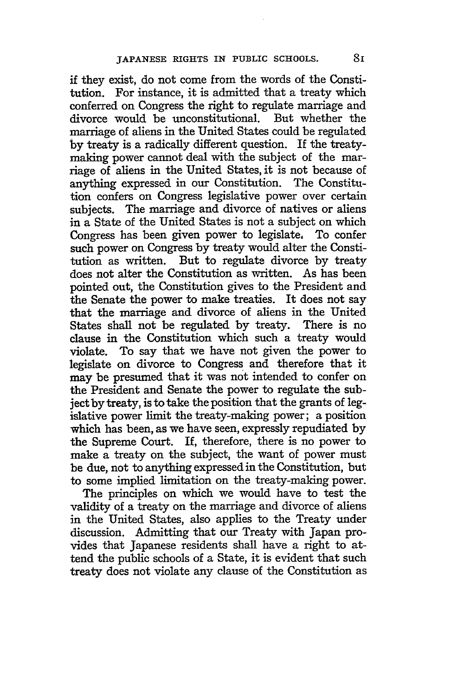if they exist, do not come from the words of the Constitution. For instance, it is admitted that a treaty which conferred on Congress the right to regulate marriage and divorce would be unconstitutional. But whether the marriage of aliens in the United States could be regulated by treaty is a radically different question. If the treatymaking power cannot deal with the subject of the marriage of aliens in the United States, it is not because of anything expressed in our Constitution. The Constitution confers on Congress legislative power over certain subjects. The marriage and divorce of natives or aliens in a State of the United States is not a subject on which Congress has been given power to legislate. To confer such power on Congress by treaty would alter the Constitution as written. But to regulate divorce by treaty does not alter the Constitution as written. As has been pointed out, the Constitution gives to the President and the Senate the power to make treaties. It does not say that the marriage and divorce of aliens in the United States shall not be regulated by treaty. There is no clause in the Constitution which such a treaty would violate. To say that we have not given the power to legislate on divorce to Congress and therefore that it may be presumed that it was not intended to confer on the President and Senate the power to regulate the subject by treaty, is to take the position that the grants of legislative power limit the treaty-making power; a position which has been, as we have seen, expressly repudiated by the Supreme Court. If, therefore, there is no power to make a treaty on the subject, the want of power must be due, not to anything expressed in the Constitution, but to some implied limitation on the treaty-making power.

The principles on which we would have to test the validity of a treaty on the marriage and divorce of aliens in the United States, also applies to the Treaty under discussion. Admitting that our Treaty with Japan provides that Japanese residents shall have a right to attend the public schools of a State, it is evident that such treaty does not violate any clause of the Constitution as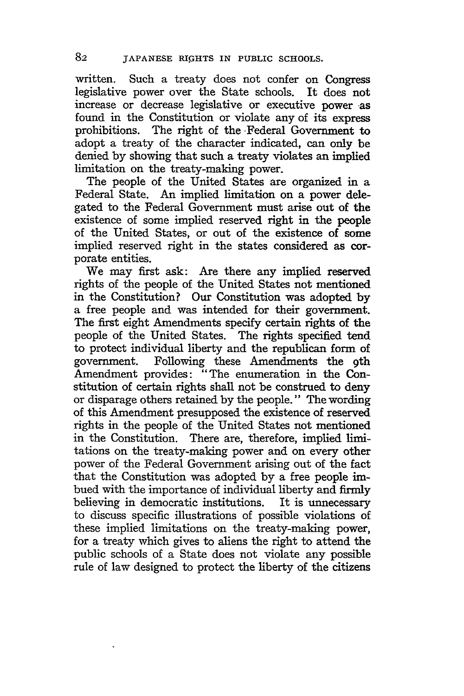written. Such a treaty does not confer on Congress legislative power over the State schools. It does not increase or decrease legislative or executive power as found in the Constitution or violate any of its express prohibitions. The right of the -Federal Government to adopt a treaty of the character indicated, can only be denied by showing that such a treaty violates an implied limitation on the treaty-making power.

The people of the United States are organized in a Federal State. An implied limitation on a power delegated to the Federal Government must arise out of the existence of some implied reserved right in the people of the United States, or out of the existence of some implied reserved right in the states considered as corporate entities.

We may first ask: Are there any implied reserved rights of the people of the United States not mentioned in the Constitution? Our Constitution was adopted by a free people and was intended for their government. The first eight Amendments specify certain rights of the people of the United States. The rights specified tend to protect individual liberty and the republican form of government. Following these Amendments the 9th Amendment provides: "The enumeration in the Constitution of certain rights shall not be construed to deny or disparage others retained by the people." The wording of this Amendment presupposed the existence of reserved rights in the people of the United States not mentioned in the Constitution. There are, therefore, implied limitations on the treaty-making power and on every other power of the Federal Government arising out of the fact that the Constitution was adopted by a free people imbued with the importance of individual liberty and firmly believing in democratic institutions. It is unnecessary to discuss specific illustrations of possible violations of these implied limitations on the treaty-making power, for a treaty which gives to aliens the right to attend the public schools of a State does not violate any possible rule of law designed to protect the liberty of the citizens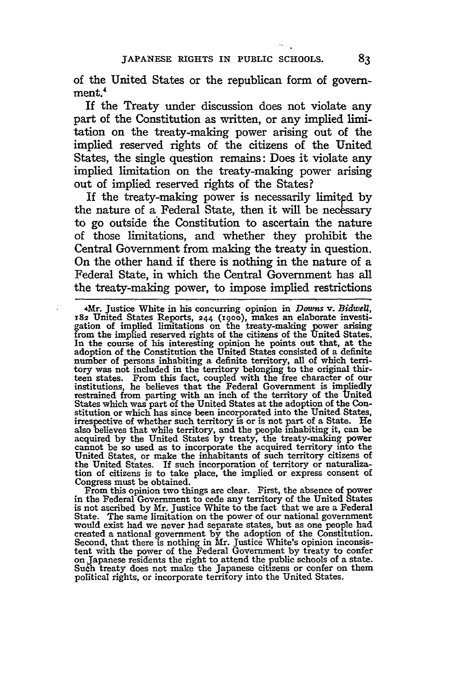of the United States or the republican form of government.<sup>4</sup>

If the Treaty under discussion does not violate any part of the Constitution as written, or any implied linitation on the treaty-making power arising out of the implied reserved rights of the citizens of the United States, the single question remains: Does it violate any implied limitation on the treaty-maling power arising out of implied reserved rights of the States?

If the treaty-making power is necessarily limitpd by the nature of a Federal State, then it will be necessary to go outside the Constitution to ascertain the nature of those limitations, and whether they prohibit the Central Government from making the treaty in question. On the other hand if there is nothing in the nature of a Federal State, in which the Central Government has all the treaty-making power, to impose implied restrictions

From this opinion two things are clear. First, the absence of power in the Federal Government to cede any territory of the United States is not ascribed **by** Mr. Justice White to the fact that we are a Federal State. The same limitation on the power of our national government would exist had we never had separate states, but as one people had or cated a national government by the adoption of the Constitution.<br>Second, that there is nothing in Mr. Justice White's opinion inconsistent with the power of the Federal Government by treaty to confer<br>on Japanese residen Such treaty does not make the Japanese citizens or confer on them political rights, or incorporate territory into the United States.

<sup>4</sup>Mr. Justice White in his concurring **opinion** in Downs v. Bidwell, **.82** United States Reports, **244 (1goo), makes** an elaborate investiextion of implied limitations on the treaty-making power arising<br>from the implied reserved rights of the citizens of the United States.<br>In the course of his interesting opinion he points out that, at the<br>adoption of the Co number of persons inhabiting a definite territory, all of which territory was not included in the territory belonging to the original thirteen states. From this fact, coupled with the free character of our institutions, he believes that the Federal Government is **impliedly** restrained from parting with an inch of the territory **of** the United States which was part of the United States at the adoption of the Constitution or which has since been incorporated into the United States, irrespective of whether such territory is or is not part of a State. He also believes that while territory, and the people inhabiting it, can be acquired by the United States by treaty, the treaty-making power cannot be so United States, or make the inhabitants of such territory citizens of the United States. If such incorporation of territory or naturalization of citizens is to take place, the implied or express consent of Congress must be obtained.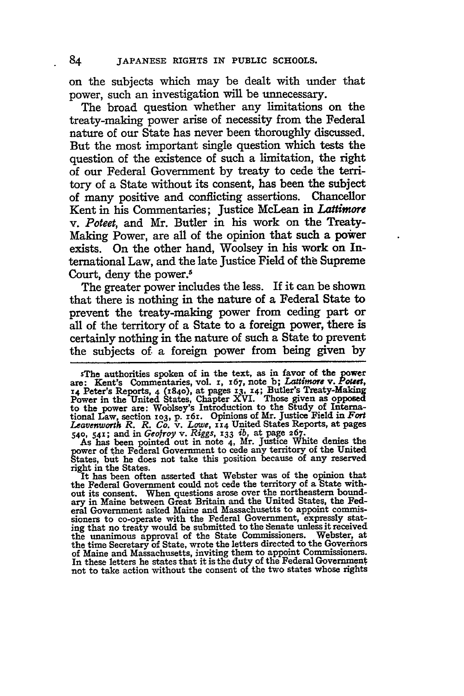on the subjects which may be dealt with under that power, such an investigation will be unnecessary.

The broad question whether any limitations on the treaty-making power arise of necessity from the Federal nature of our State has never been thoroughly discussed. But the most important single question which tests the question of the existence of such a limitation, the right of our Federal Government by treaty to cede the territory of a State without its consent, has been the subject of many positive and conflicting assertions. Chancellor Kent in his Commentaries; Justice McLean in *Lattimore v. Poteet,* and Mr. Butler in his work on the Treaty-Making Power, are all of the opinion that such a power exists. On the other hand, Woolsey in his work on International Law, and the late Justice Field of the Supreme Court, deny the power.<sup>5</sup>

The greater power includes the less. If it can be shown that there is nothing in the nature of a Federal State to prevent the treaty-making power from ceding part or all of the territory of a State to a foreign power, there is certainly nothing in the nature of such a State to prevent the subjects of. a foreign power from being given **by**

**ower** of the Federal Government to cede any territory of the United States, but he does not take this position because of any reserved right in the States.

It has been often asserted that Webster was of the **opinion** that the Federal Government could not cede the territory of a **State** without its consent. When questions arose over the northeastern boundary in Maine between Great Britain and the United States, the Federal Government asked Maine and Massachusetts to appoint commissioners to co-operate with th ing that no treaty would be submitted to the Senate unless it received **the** unanimous approval of the State Commissioners. Webster, at the time Secretary **of** State, wrote the letters directed to the Goverhors of Maine and Massachusetts, inviting them to appoint Commissioners. In these letters he states that it is the duty of the Federal Government not to take action without the consent of the two states whose rights

sThe authorities spoken of in the text, as in favor of the power are: Kent's Commentaries, vol. 1, 167, note b; Lattimore v. Poten, 14 Peter's Reports, 4 (1840), at pages 13, 14; Butler's Treaty-Making Power in the United States, Chapter XVI. Those given as opposed to the power are: Woo **540, 541;** and in *Geofroy* v. *Riggs, 133 ib,* at page **267. As has** been pointed out in note **4,** Mr. Justice White denies the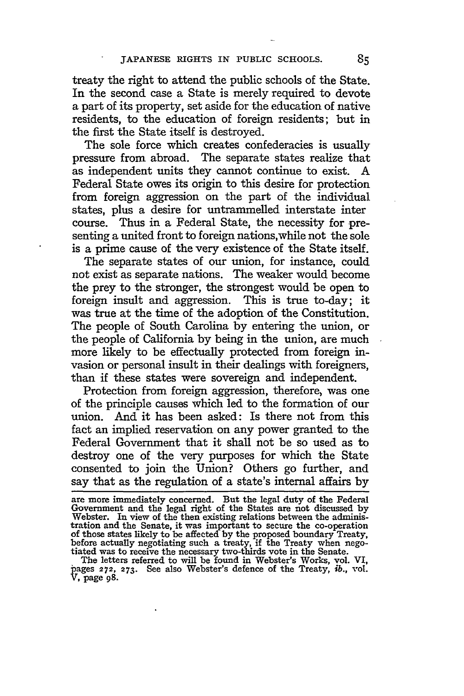treaty the right to attend the public schools of the State. In the second case a State is merely required to devote a part of its property, set aside for the education of native residents, to the education of foreign residents; but in the first the State itself is destroyed.

The sole force which creates confederacies is usually pressure from abroad. The separate states realize that as independent units they cannot continue to exist. A Federal State owes its origin to this desire for protection from foreign aggression on the part of the individual states, plus a desire for untrammelled interstate inter course. Thus in a Federal State, the necessity for presenting a united front to foreign nations,while not the sole is a prime cause of the very existence of the State itself.

The separate states of our union, for instance, could not exist as separate nations. The weaker would become the prey to the stronger, the strongest would be open to foreign insult and aggression. This is true to-day; it was true at the time of the adoption of the Constitution. The people of South Carolina **by** entering the union, or the people of California **by** being in the union, are much more likely to be effectually protected from foreign invasion or personal insult in their dealings with foreigners, than if these states were sovereign and independent.

Protection from foreign aggression, therefore, was one of the principle causes which led to the formation of our union. And it has been asked: Is there not from this fact an implied reservation on any power granted to the Federal Government that it shall not be so used as to destroy one of the very purposes for which the State consented to join the Union? Others go further, and say that as the regulation of a state's internal affairs **by**

are more immediately concerned. But the legal duty of the Federal Government and the legal right of the States are not discussed **by** Webster. In view of the then existing relations between the administration and the Senate, it was important to secure the co-operation of those states likely to be affected **by** the proposed boundary Treaty, before actually negotiating such a treaty, if the Treaty when nego- tiated was to receive the necessary two-thirds vote in the Senate.

The letters referred to will be found in Webster's Works, vol. **VI,** pages **272, 273.** See also Webster's defence of the Treaty, ib., vol. V, page **98.**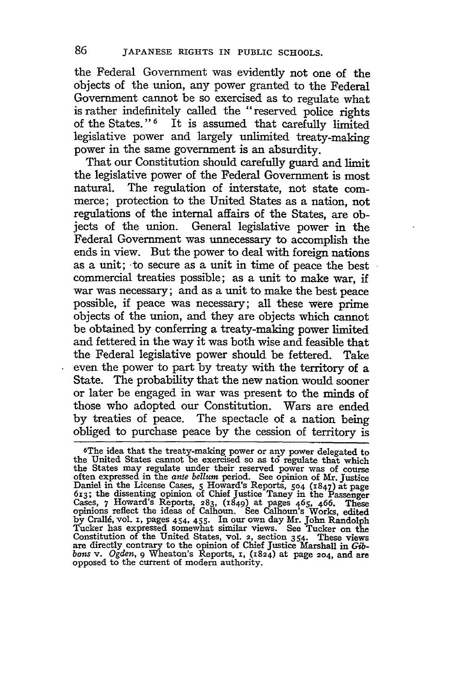the Federal Government was evidently not one of the objects of the union, any power granted to the Federal Government cannot be so exercised as to regulate what is rather indefinitely called the "reserved police rights of the States." **6** It is assumed that carefully limited legislative power and largely unlimited treaty-making power in the same government is an absurdity.

That our Constitution should carefully guard and limit the legislative power of the Federal Government is most natural. The regulation of interstate, not state commerce; protection to the United States as a nation, not regulations of the internal affairs of the States, are objects of the union. General legislative power in the Federal Government was unnecessary to accomplish the ends in view. But the power to deal with foreign nations as a unit; to secure as a unit in time of peace the best commercial treaties possible; as a unit to make war, if war was necessary; and as a unit to make the best peace possible, if peace was necessary; all these were prime objects of the union, and they are objects which cannot be obtained by conferring a treaty-making power limited and fettered in the way it was both wise and feasible that the Federal legislative power should be fettered. Take even the power to part by treaty with the territory of a State. The probability that the new nation would sooner or later be engaged in war was present to the minds of those who adopted our Constitution. Wars are ended by treaties of peace. The spectacle of a nation being obliged to purchase peace by the cession of territory is

The idea that the treaty-making power or any power delegated to the United States cannot be exercised so as to regulate that which the States may regulate under their reserved power was of course often expressed in the *ante bellum* period. See opinion of Mr. Justice Daniel in the License Cases, 5 Howard's Reports, 504 (1847) at page<br>613; the dissenting opinion of Chief Justice Taney in the Passenger Cases, **7** Howard's Reports, **283,** (z849) at pages 465, 466. These opinions reflect the ideas of Calhoun. See Calhoun's Works, edited by Crallé, vol. 1, pages 454, 455. In our own day Mr. John Randolph<br>Tucker has expressed somewhat similar views. See Tucker on the<br>Constitution of the United States, vol. 2, section 354. These views<br>are directly contrary t *bons v. Ogden,* 9 Wheaton's Reports, **i, (x824)** at page 204, and are opposed to the current of modem authority.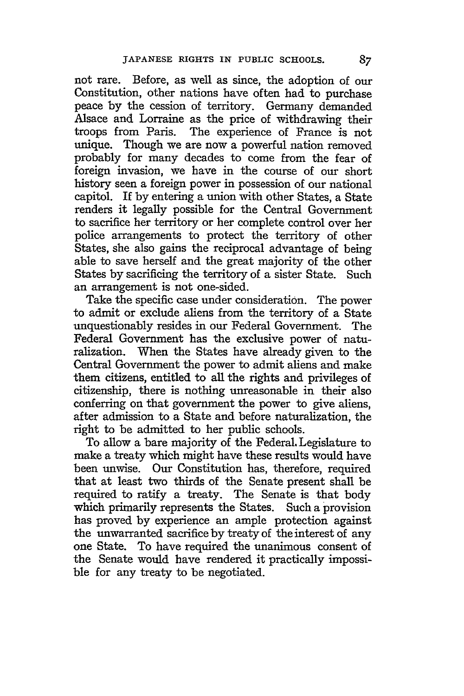not rare. Before, as well as since, the adoption of our Constitution, other nations have often had to purchase peace by the cession of territory. Germany demanded Alsace and Lorraine as the price of withdrawing their troops from Paris. The experience of France is not unique. Though we are now a powerful nation removed probably for many decades to come from the fear of foreign invasion, we have in the course of our short history seen a foreign power in possession of our national capitol. If by entering a union with other States, a State renders it legally possible for the Central Government to sacrifice her territory or her complete control over her police arrangements to protect the territory of other States, she also gains the reciprocal advantage of being able to save herself and the great majority of the other States by sacrificing the territory of a sister State. Such an arrangement is not one-sided.

Take the specific case under consideration. The power to admit or exclude aliens from the territory of a State unquestionably resides in our Federal Government. The Federal Government has the exclusive power of naturalization. When the States have already given to the Central Government the power to admit aliens and make them citizens, entitled to all the rights and privileges of citizenship, there is nothing unreasonable in their also conferring on that government the power to give aliens, after admission to a State and before naturalization, the right to be admitted to her public schools.

To allow a bare majority of the Federal. Legislature to make a treaty which might have these results would have been unwise. Our Constitution has, therefore, required that at least two thirds of the Senate present shall be required to ratify a treaty. The Senate is that body which primarily represents the States. Such a provision has proved by experience an ample protection against the unwarranted sacrifice by treaty of the interest of any one State. To have required the unanimous consent of the Senate would have rendered it practically impossible for any treaty to be negotiated.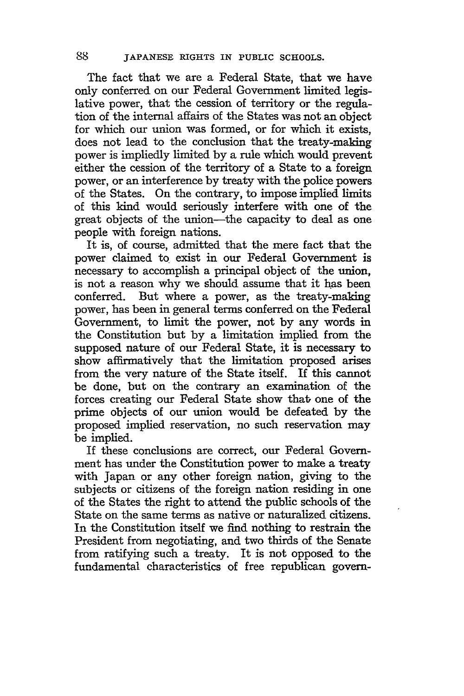The fact that we are a Federal State, that we have only conferred on our Federal Government limited legislative power, that the cession of territory or the regulation of the internal affairs of the States was not an object for which our union was formed, or for which it exists, does not lead to the conclusion that the treaty-making power is impliedly limited by a rule which would prevent either the cession of the territory of a State to a foreign power, or an interference by treaty with the police powers of the States. On the contrary, to impose implied limits of this kind would seriously interfere with one of the great objects of the union-the capacity to deal as one people with foreign nations.

It is, of course, admitted that the mere fact that the power claimed to exist in our Federal Government is necessary to accomplish a principal object of the union, is not a reason why we should assume that it has been conferred. But where a power, as the treaty-making power, has been in general terms conferred on the Federal Government, to limit the power, not **by** any words in the Constitution but **by** a limitation implied from the supposed nature of our Federal State, it is necessary to show affirmatively that the limitation proposed arises from the very nature of the State itself. If this cannot be done, but on the contrary an examination of the forces creating our Federal State show that one of the prime objects of our union would be defeated **by** the proposed implied reservation, no such reservation may be implied.

If these conclusions are correct, our Federal Government has under the Constitution power to make a treaty with Japan or any other foreign nation, giving to the subjects or citizens of the foreign nation residing in one of the States the right to attend the public schools of the State on the same terms as native or naturalized citizens. In the Constitution itself we find nothing to restrain the President from negotiating, and two thirds of the Senate from ratifying such a treaty. It is not opposed to the fundamental characteristics of free republican govern-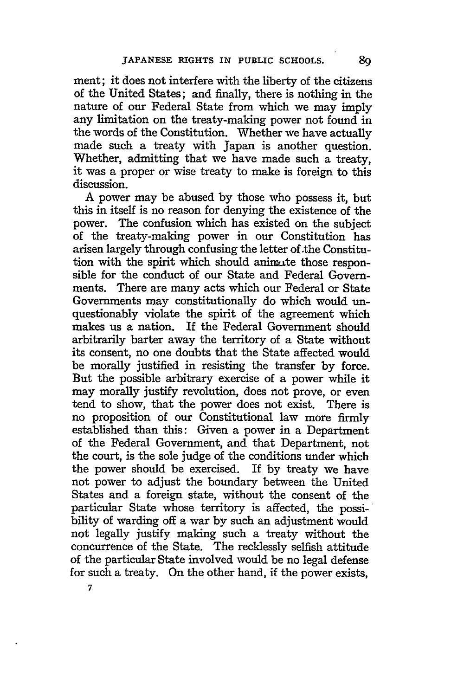ment; it does not interfere with the liberty of the citizens of the United States; and finally, there is nothing in the nature of our Federal State from which we may imply any limitation on the treaty-making power not found in the words of the Constitution. Whether we have actually made such a treaty with Japan is another question. Whether, admitting that we have made such a treaty, it was a proper or wise treaty to make is foreign to this discussion.

A power may be abused **by** those who possess it, but this in itself is no reason for denying the existence of the power. The confusion which has existed on the subject of the treaty-making power in our Constitution has arisen largely through confusing the letter of the Constitution with the spirit which should animate those responsible for the conduct of our State and Federal Governments. There are many acts which our Federal or State Governments may constitutionally do which would unquestionably violate the spirit of the agreement which makes us a nation. If the Federal Government should arbitrarily barter away the territory of a State without its consent, no one doubts that the State affected would be morally justified in resisting the transfer **by** force. But the possible arbitrary exercise of a power while it may morally justify revolution, does not prove, or even tend to show, that the power does not exist. There is no proposition of our Constitutional law more firmly established than this: Given a power in a Department of the Federal Government, and that Department, not the court, is the sole judge of the conditions under which the power should be exercised. If **by** treaty we have not power to adjust the boundary between the United States and a foreign state, without the consent of the particular State whose territory is affected, the possibility of warding off a war **by** such an adjustment would not legally justify making such a treaty without the concurrence of the State. The recklessly selfish attitude of the particular State involved would be no legal defense for such a treaty. On the other hand, if the power exists,

7